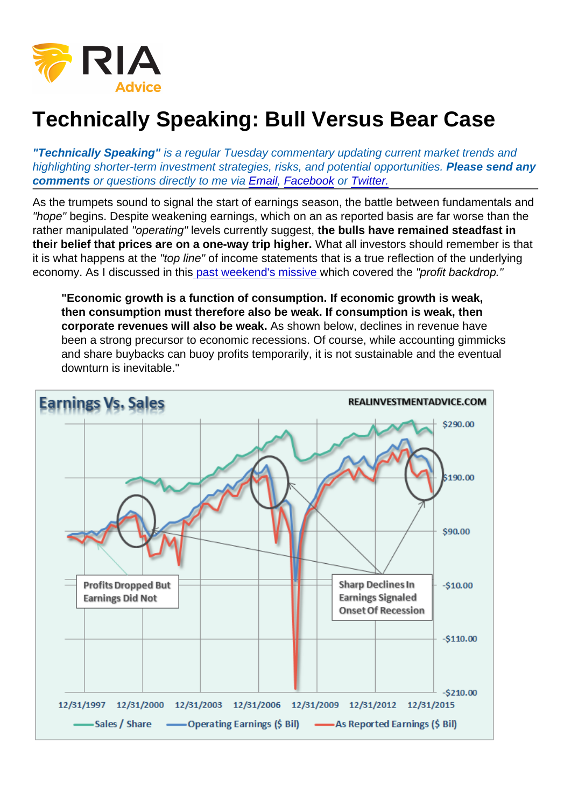# Technically Speaking: Bull Versus Bear Case

"Technically Speaking" is a regular Tuesday commentary updating current market trends and highlighting shorter-term investment strategies, risks, and potential opportunities. Please send any comments or questions directly to me via [Email](mailto:lance@realinvestmentadvice.com), [Facebook](http://www.facebook.com/realinvestmentadvice) or [Twitter.](https://twitter.com/LanceRoberts)

As the trumpets sound to signal the start of earnings season, the battle between fundamentals and "hope" begins. Despite weakening earnings, which on an as reported basis are far worse than the rather manipulated "operating" levels currently suggest, the bulls have remained steadfast in their belief that prices are on a one-way trip higher. What all investors should remember is that it is what happens at the "top line" of income statements that is a true reflection of the underlying economy. As I discussed in thi[s past weekend's missive w](https://realinvestmentadvice.com/markets-hanging-on-every-word-04-08-16/)hich covered the "profit backdrop."

"Economic growth is a function of consumption. If economic growth is weak, then consumption must therefore also be weak. If consumption is weak, then corporate revenues will also be weak. As shown below, declines in revenue have been a strong precursor to economic recessions. Of course, while accounting gimmicks and share buybacks can buoy profits temporarily, it is not sustainable and the eventual downturn is inevitable."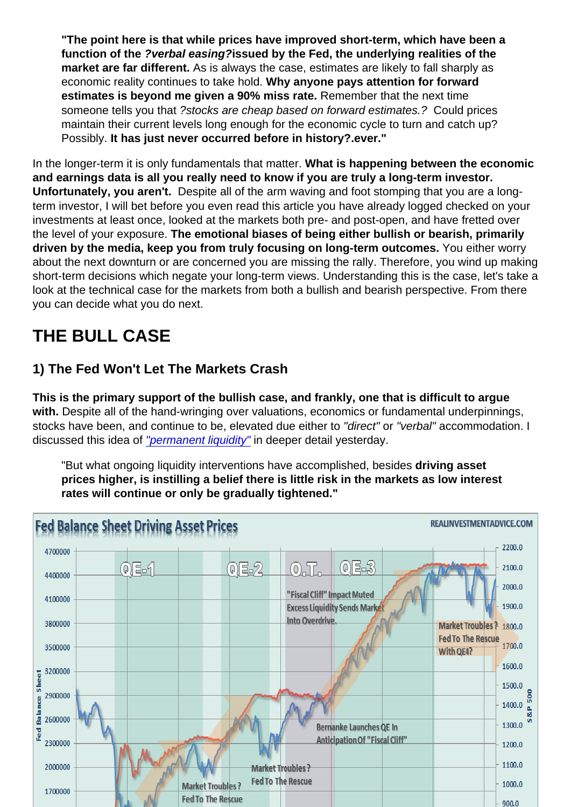"The point here is that while prices have improved short-term, which have been a function of the ?verbal easing? issued by the Fed, the underlying realities of the market are far different. As is always the case, estimates are likely to fall sharply as economic reality continues to take hold. Why anyone pays attention for forward estimates is beyond me given a 90% miss rate. Remember that the next time someone tells you that ?stocks are cheap based on forward estimates.? Could prices maintain their current levels long enough for the economic cycle to turn and catch up? Possibly. It has just never occurred before in history?.ever."

In the longer-term it is only fundamentals that matter. What is happening between the economic and earnings data is all you really need to know if you are truly a long-term investor. Unfortunately, you aren't. Despite all of the arm waving and foot stomping that you are a longterm investor, I will bet before you even read this article you have already logged checked on your investments at least once, looked at the markets both pre- and post-open, and have fretted over the level of your exposure. The emotional biases of being either bullish or bearish, primarily driven by the media, keep you from truly focusing on long-term outcomes. You either worry about the next downturn or are concerned you are missing the rally. Therefore, you wind up making short-term decisions which negate your long-term views. Understanding this is the case, let's take a look at the technical case for the markets from both a bullish and bearish perspective. From there you can decide what you do next.

# THE BULL CASE

### 1) The Fed Won't Let The Markets Crash

This is the primary support of the bullish case, and frankly, one that is difficult to argue with. Despite all of the hand-wringing over valuations, economics or fundamental underpinnings, stocks have been, and continue to be, elevated due either to "direct" or "verbal" accommodation. I discussed this idea of ["permanent liquidity"](https://realinvestmentadvice.com/the-illusion-of-permanent-liquidity/) in deeper detail yesterday.

"But what ongoing liquidity interventions have accomplished, besides driving asset prices higher, is instilling a belief there is little risk in the markets as low interest rates will continue or only be gradually tightened."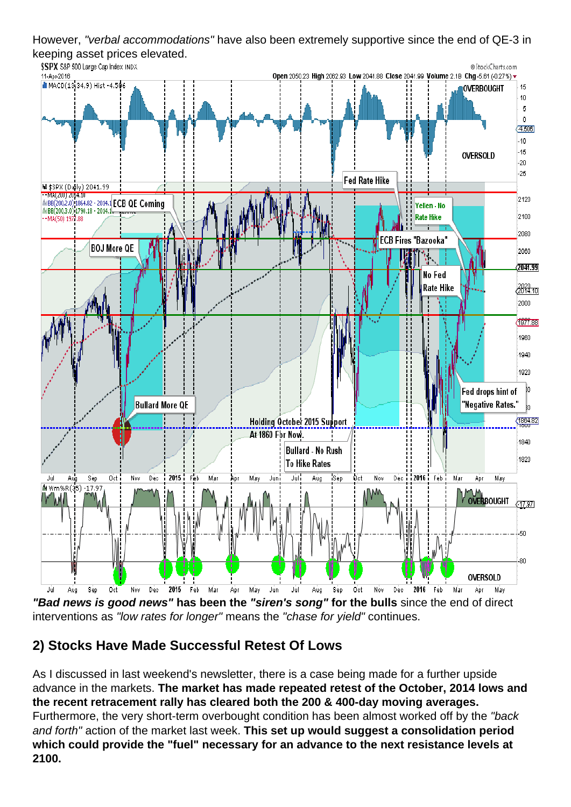However, "verbal accommodations" have also been extremely supportive since the end of QE-3 in keeping asset prices elevated.

"Bad news is good news" has been the "siren's song" for the bulls since the end of direct interventions as "low rates for longer" means the "chase for yield" continues.

#### 2) Stocks Have Made Successful Retest Of Lows

As I discussed in last weekend's newsletter, there is a case being made for a further upside advance in the markets. The market has made repeated retest of the October, 2014 lows and the recent retracement rally has cleared both the 200 & 400-day moving averages. Furthermore, the very short-term overbought condition has been almost worked off by the "back and forth" action of the market last week. This set up would suggest a consolidation period which could provide the "fuel" necessary for an advance to the next resistance levels at 2100.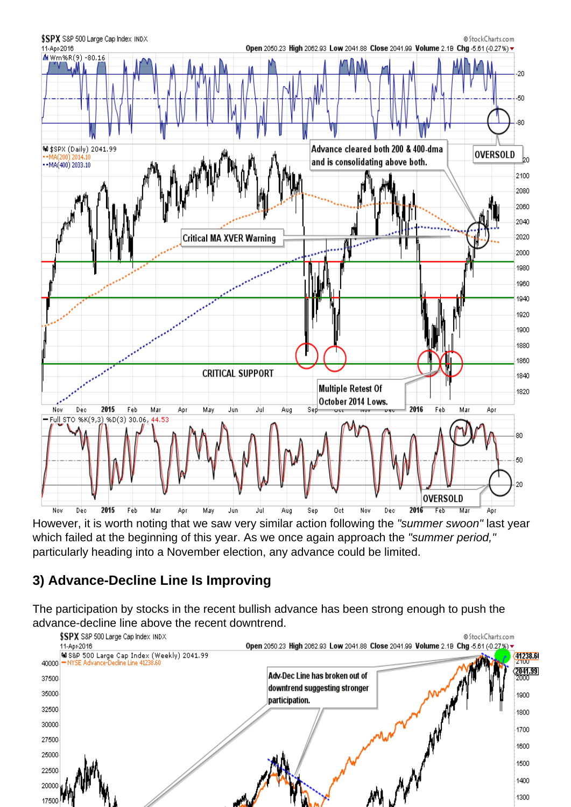However, it is worth noting that we saw very similar action following the "summer swoon" last year which failed at the beginning of this year. As we once again approach the "summer period," particularly heading into a November election, any advance could be limited.

3) Advance-Decline Line Is Improving

The participation by stocks in the recent bullish advance has been strong enough to push the advance-decline line above the recent downtrend.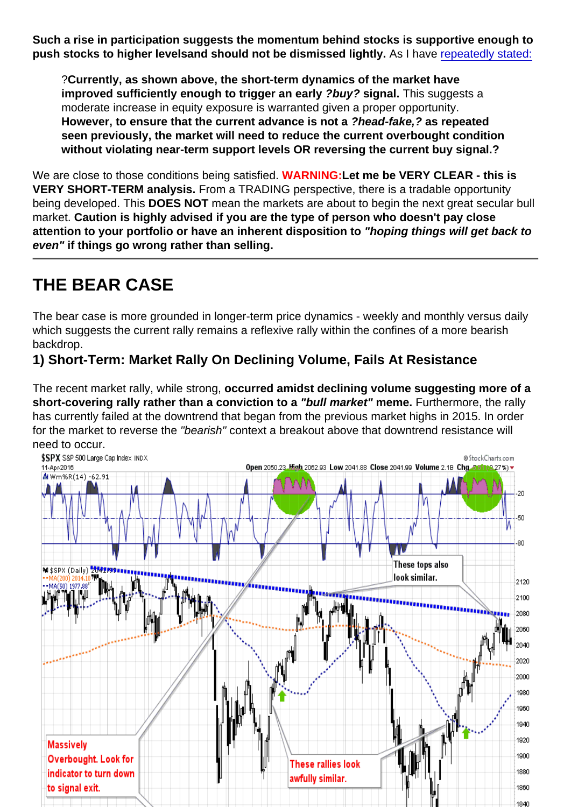Such a rise in participation suggests the momentum behind stocks is supportive enough to push stocks to higher levels and should not be dismissed lightly. As I have [repeatedly stated:](https://realinvestmentadvice.com/markets-hanging-on-every-word-04-08-16/)

?Currently, as shown above, the short-term dynamics of the market have improved sufficiently enough to trigger an early ?buy? signal. This suggests a moderate increase in equity exposure is warranted given a proper opportunity. However, to ensure that the current advance is not a ?head-fake,? as repeated seen previously, the market will need to reduce the current overbought condition without violating near-term support levels OR reversing the current buy signal.?

We are close to those conditions being satisfied. WARNING: Let me be VERY CLEAR - this is VERY SHORT-TERM analysis. From a TRADING perspective, there is a tradable opportunity being developed. This DOES NOT mean the markets are about to begin the next great secular bull market. Caution is highly advised if you are the type of person who doesn't pay close attention to your portfolio or have an inherent disposition to "hoping things will get back to even" if things go wrong rather than selling.

## THE BEAR CASE

The bear case is more grounded in longer-term price dynamics - weekly and monthly versus daily which suggests the current rally remains a reflexive rally within the confines of a more bearish backdrop.

1) Short-Term: Market Rally On Declining Volume, Fails At Resistance

The recent market rally, while strong, occurred amidst declining volume suggesting more of a short-covering rally rather than a conviction to a "bull market" meme. Furthermore, the rally has currently failed at the downtrend that began from the previous market highs in 2015. In order for the market to reverse the "bearish" context a breakout above that downtrend resistance will need to occur.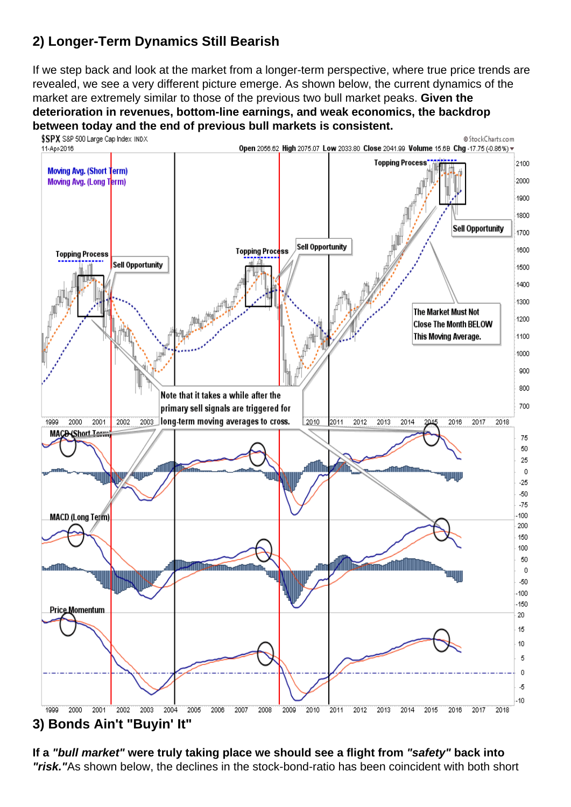### 2) Longer-Term Dynamics Still Bearish

If we step back and look at the market from a longer-term perspective, where true price trends are revealed, we see a very different picture emerge. As shown below, the current dynamics of the market are extremely similar to those of the previous two bull market peaks. Given the deterioration in revenues, bottom-line earnings, and weak economics, the backdrop between today and the end of previous bull markets is consistent.

#### 3) Bonds Ain't "Buyin' It"

If a "bull market" were truly taking place we should see a flight from "safety" back into "risk." As shown below, the declines in the stock-bond-ratio has been coincident with both short